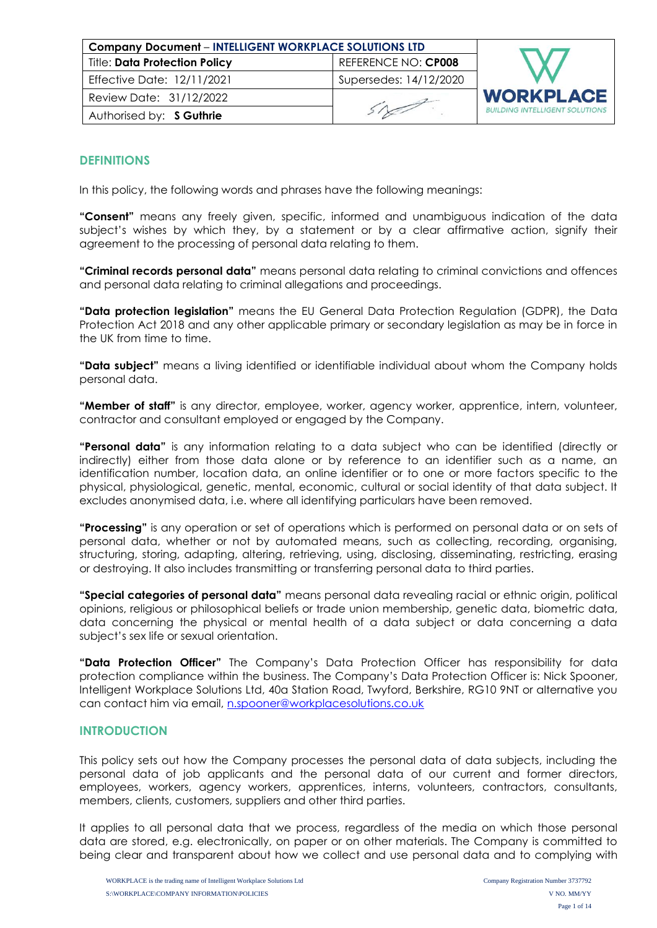| <b>Company Document - INTELLIGENT WORKPLACE SOLUTIONS LTD</b> |                        |                                      |
|---------------------------------------------------------------|------------------------|--------------------------------------|
| <b>Title: Data Protection Policy</b>                          | REFERENCE NO: CP008    |                                      |
| Effective Date: 12/11/2021                                    | Supersedes: 14/12/2020 |                                      |
| Review Date: 31/12/2022                                       |                        | <b>WORKPLAC</b>                      |
| Authorised by: S Guthrie                                      |                        | <b>BUILDING INTELLIGENT SOLUTION</b> |

# **DEFINITIONS**

In this policy, the following words and phrases have the following meanings:

**"Consent"** means any freely given, specific, informed and unambiguous indication of the data subject's wishes by which they, by a statement or by a clear affirmative action, signify their agreement to the processing of personal data relating to them.

**"Criminal records personal data"** means personal data relating to criminal convictions and offences and personal data relating to criminal allegations and proceedings.

**"Data protection legislation"** means the EU General Data Protection Regulation (GDPR), the Data Protection Act 2018 and any other applicable primary or secondary legislation as may be in force in the UK from time to time.

**"Data subject"** means a living identified or identifiable individual about whom the Company holds personal data.

**"Member of staff"** is any director, employee, worker, agency worker, apprentice, intern, volunteer, contractor and consultant employed or engaged by the Company.

**"Personal data"** is any information relating to a data subject who can be identified (directly or indirectly) either from those data alone or by reference to an identifier such as a name, an identification number, location data, an online identifier or to one or more factors specific to the physical, physiological, genetic, mental, economic, cultural or social identity of that data subject. It excludes anonymised data, i.e. where all identifying particulars have been removed.

**"Processing"** is any operation or set of operations which is performed on personal data or on sets of personal data, whether or not by automated means, such as collecting, recording, organising, structuring, storing, adapting, altering, retrieving, using, disclosing, disseminating, restricting, erasing or destroying. It also includes transmitting or transferring personal data to third parties.

**"Special categories of personal data"** means personal data revealing racial or ethnic origin, political opinions, religious or philosophical beliefs or trade union membership, genetic data, biometric data, data concerning the physical or mental health of a data subject or data concerning a data subject's sex life or sexual orientation.

**"Data Protection Officer"** The Company's Data Protection Officer has responsibility for data protection compliance within the business. The Company's Data Protection Officer is: Nick Spooner, Intelligent Workplace Solutions Ltd, 40a Station Road, Twyford, Berkshire, RG10 9NT or alternative you can contact him via email, [n.spooner@workplacesolutions.co.uk](mailto:n.spooner@workplacesolutions.co.uk)

# **INTRODUCTION**

This policy sets out how the Company processes the personal data of data subjects, including the personal data of job applicants and the personal data of our current and former directors, employees, workers, agency workers, apprentices, interns, volunteers, contractors, consultants, members, clients, customers, suppliers and other third parties.

It applies to all personal data that we process, regardless of the media on which those personal data are stored, e.g. electronically, on paper or on other materials. The Company is committed to being clear and transparent about how we collect and use personal data and to complying with

Ε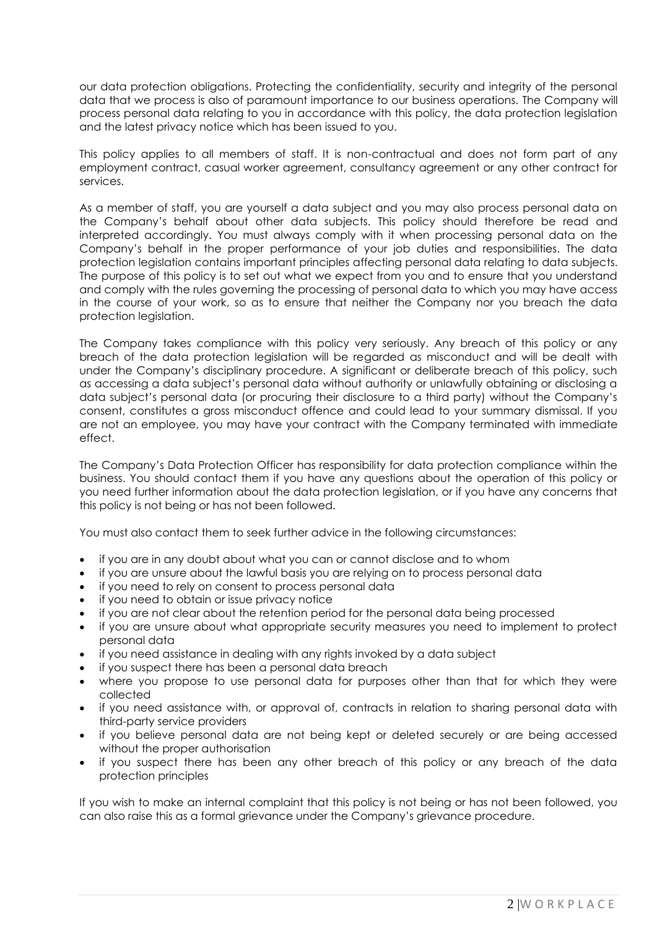our data protection obligations. Protecting the confidentiality, security and integrity of the personal data that we process is also of paramount importance to our business operations. The Company will process personal data relating to you in accordance with this policy, the data protection legislation and the latest privacy notice which has been issued to you.

This policy applies to all members of staff. It is non-contractual and does not form part of any employment contract, casual worker agreement, consultancy agreement or any other contract for services.

As a member of staff, you are yourself a data subject and you may also process personal data on the Company's behalf about other data subjects. This policy should therefore be read and interpreted accordingly. You must always comply with it when processing personal data on the Company's behalf in the proper performance of your job duties and responsibilities. The data protection legislation contains important principles affecting personal data relating to data subjects. The purpose of this policy is to set out what we expect from you and to ensure that you understand and comply with the rules governing the processing of personal data to which you may have access in the course of your work, so as to ensure that neither the Company nor you breach the data protection legislation.

The Company takes compliance with this policy very seriously. Any breach of this policy or any breach of the data protection legislation will be regarded as misconduct and will be dealt with under the Company's disciplinary procedure. A significant or deliberate breach of this policy, such as accessing a data subject's personal data without authority or unlawfully obtaining or disclosing a data subject's personal data (or procuring their disclosure to a third party) without the Company's consent, constitutes a gross misconduct offence and could lead to your summary dismissal. If you are not an employee, you may have your contract with the Company terminated with immediate effect.

The Company's Data Protection Officer has responsibility for data protection compliance within the business. You should contact them if you have any questions about the operation of this policy or you need further information about the data protection legislation, or if you have any concerns that this policy is not being or has not been followed.

You must also contact them to seek further advice in the following circumstances:

- if you are in any doubt about what you can or cannot disclose and to whom
- if you are unsure about the lawful basis you are relying on to process personal data
- if you need to rely on consent to process personal data
- if you need to obtain or issue privacy notice
- if you are not clear about the retention period for the personal data being processed
- if you are unsure about what appropriate security measures you need to implement to protect personal data
- if you need assistance in dealing with any rights invoked by a data subject
- if you suspect there has been a personal data breach
- where you propose to use personal data for purposes other than that for which they were collected
- if you need assistance with, or approval of, contracts in relation to sharing personal data with third-party service providers
- if you believe personal data are not being kept or deleted securely or are being accessed without the proper authorisation
- if you suspect there has been any other breach of this policy or any breach of the data protection principles

If you wish to make an internal complaint that this policy is not being or has not been followed, you can also raise this as a formal grievance under the Company's grievance procedure.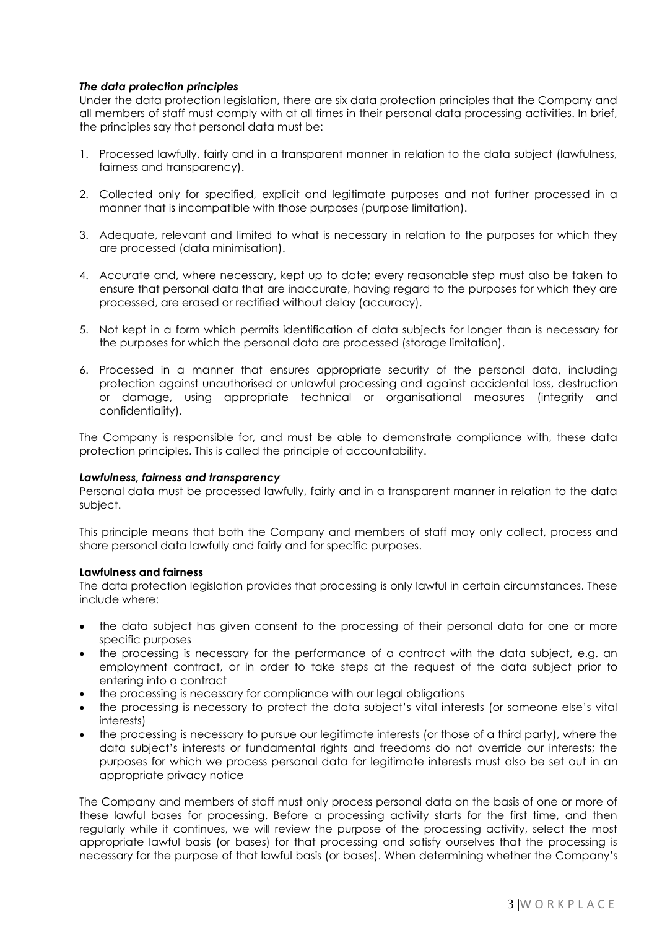## *The data protection principles*

Under the data protection legislation, there are six data protection principles that the Company and all members of staff must comply with at all times in their personal data processing activities. In brief, the principles say that personal data must be:

- 1. Processed lawfully, fairly and in a transparent manner in relation to the data subject (lawfulness, fairness and transparency).
- 2. Collected only for specified, explicit and legitimate purposes and not further processed in a manner that is incompatible with those purposes (purpose limitation).
- 3. Adequate, relevant and limited to what is necessary in relation to the purposes for which they are processed (data minimisation).
- 4. Accurate and, where necessary, kept up to date; every reasonable step must also be taken to ensure that personal data that are inaccurate, having regard to the purposes for which they are processed, are erased or rectified without delay (accuracy).
- 5. Not kept in a form which permits identification of data subjects for longer than is necessary for the purposes for which the personal data are processed (storage limitation).
- 6. Processed in a manner that ensures appropriate security of the personal data, including protection against unauthorised or unlawful processing and against accidental loss, destruction or damage, using appropriate technical or organisational measures (integrity and confidentiality).

The Company is responsible for, and must be able to demonstrate compliance with, these data protection principles. This is called the principle of accountability.

## *Lawfulness, fairness and transparency*

Personal data must be processed lawfully, fairly and in a transparent manner in relation to the data subject.

This principle means that both the Company and members of staff may only collect, process and share personal data lawfully and fairly and for specific purposes.

#### **Lawfulness and fairness**

The data protection legislation provides that processing is only lawful in certain circumstances. These include where:

- the data subject has given consent to the processing of their personal data for one or more specific purposes
- the processing is necessary for the performance of a contract with the data subject, e.g. an employment contract, or in order to take steps at the request of the data subject prior to entering into a contract
- the processing is necessary for compliance with our legal obligations
- the processing is necessary to protect the data subject's vital interests (or someone else's vital interests)
- the processing is necessary to pursue our legitimate interests (or those of a third party), where the data subject's interests or fundamental rights and freedoms do not override our interests; the purposes for which we process personal data for legitimate interests must also be set out in an appropriate privacy notice

The Company and members of staff must only process personal data on the basis of one or more of these lawful bases for processing. Before a processing activity starts for the first time, and then regularly while it continues, we will review the purpose of the processing activity, select the most appropriate lawful basis (or bases) for that processing and satisfy ourselves that the processing is necessary for the purpose of that lawful basis (or bases). When determining whether the Company's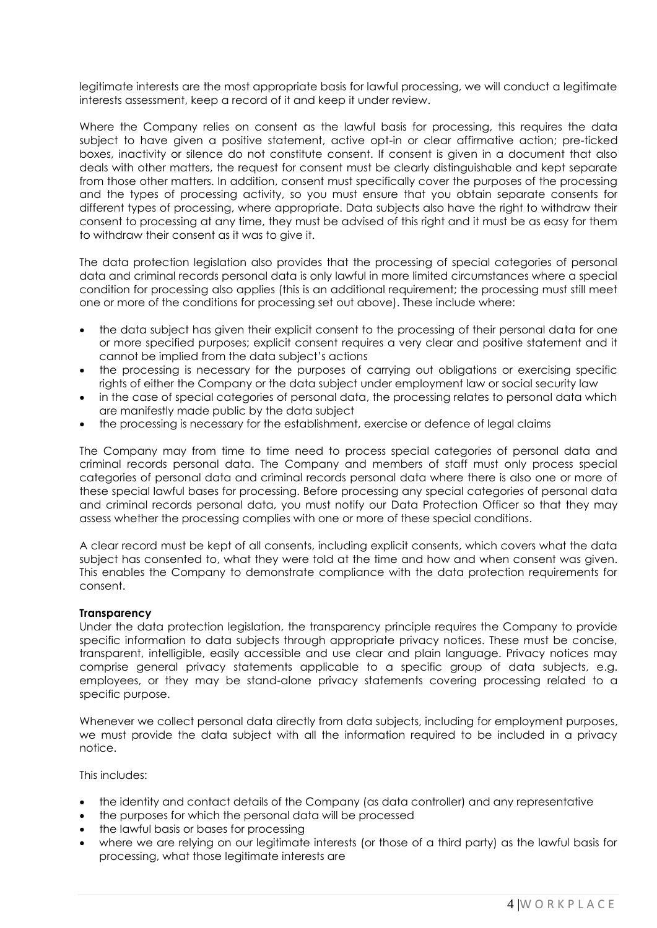legitimate interests are the most appropriate basis for lawful processing, we will conduct a legitimate interests assessment, keep a record of it and keep it under review.

Where the Company relies on consent as the lawful basis for processing, this requires the data subject to have given a positive statement, active opt-in or clear affirmative action; pre-ticked boxes, inactivity or silence do not constitute consent. If consent is given in a document that also deals with other matters, the request for consent must be clearly distinguishable and kept separate from those other matters. In addition, consent must specifically cover the purposes of the processing and the types of processing activity, so you must ensure that you obtain separate consents for different types of processing, where appropriate. Data subjects also have the right to withdraw their consent to processing at any time, they must be advised of this right and it must be as easy for them to withdraw their consent as it was to give it.

The data protection legislation also provides that the processing of special categories of personal data and criminal records personal data is only lawful in more limited circumstances where a special condition for processing also applies (this is an additional requirement; the processing must still meet one or more of the conditions for processing set out above). These include where:

- the data subject has given their explicit consent to the processing of their personal data for one or more specified purposes; explicit consent requires a very clear and positive statement and it cannot be implied from the data subject's actions
- the processing is necessary for the purposes of carrying out obligations or exercising specific rights of either the Company or the data subject under employment law or social security law
- in the case of special categories of personal data, the processing relates to personal data which are manifestly made public by the data subject
- the processing is necessary for the establishment, exercise or defence of legal claims

The Company may from time to time need to process special categories of personal data and criminal records personal data. The Company and members of staff must only process special categories of personal data and criminal records personal data where there is also one or more of these special lawful bases for processing. Before processing any special categories of personal data and criminal records personal data, you must notify our Data Protection Officer so that they may assess whether the processing complies with one or more of these special conditions.

A clear record must be kept of all consents, including explicit consents, which covers what the data subject has consented to, what they were told at the time and how and when consent was given. This enables the Company to demonstrate compliance with the data protection requirements for consent.

## **Transparency**

Under the data protection legislation, the transparency principle requires the Company to provide specific information to data subjects through appropriate privacy notices. These must be concise, transparent, intelligible, easily accessible and use clear and plain language. Privacy notices may comprise general privacy statements applicable to a specific group of data subjects, e.g. employees, or they may be stand-alone privacy statements covering processing related to a specific purpose.

Whenever we collect personal data directly from data subjects, including for employment purposes, we must provide the data subject with all the information required to be included in a privacy notice.

This includes:

- the identity and contact details of the Company (as data controller) and any representative
- the purposes for which the personal data will be processed
- the lawful basis or bases for processing
- where we are relying on our legitimate interests (or those of a third party) as the lawful basis for processing, what those legitimate interests are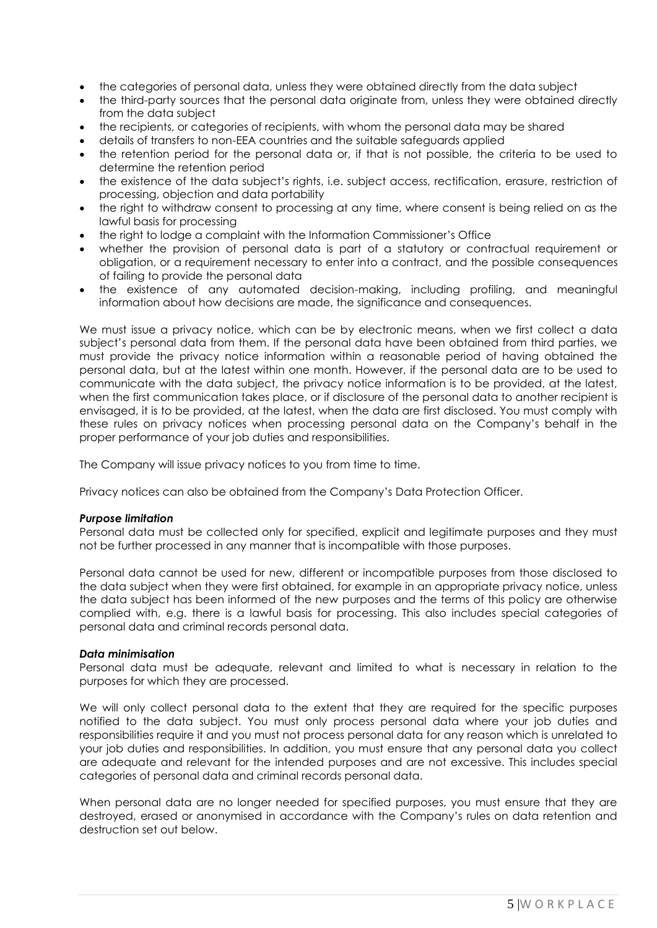- the categories of personal data, unless they were obtained directly from the data subject
- the third-party sources that the personal data originate from, unless they were obtained directly from the data subject
- the recipients, or categories of recipients, with whom the personal data may be shared
- details of transfers to non-EEA countries and the suitable safeguards applied
- the retention period for the personal data or, if that is not possible, the criteria to be used to determine the retention period
- the existence of the data subject's rights, i.e. subject access, rectification, erasure, restriction of processing, objection and data portability
- the right to withdraw consent to processing at any time, where consent is being relied on as the lawful basis for processing
- the right to lodge a complaint with the Information Commissioner's Office
- whether the provision of personal data is part of a statutory or contractual requirement or obligation, or a requirement necessary to enter into a contract, and the possible consequences of failing to provide the personal data
- the existence of any automated decision-making, including profiling, and meaningful information about how decisions are made, the significance and consequences.

We must issue a privacy notice, which can be by electronic means, when we first collect a data subject's personal data from them. If the personal data have been obtained from third parties, we must provide the privacy notice information within a reasonable period of having obtained the personal data, but at the latest within one month. However, if the personal data are to be used to communicate with the data subject, the privacy notice information is to be provided, at the latest, when the first communication takes place, or if disclosure of the personal data to another recipient is envisaged, it is to be provided, at the latest, when the data are first disclosed. You must comply with these rules on privacy notices when processing personal data on the Company's behalf in the proper performance of your job duties and responsibilities.

The Company will issue privacy notices to you from time to time.

Privacy notices can also be obtained from the Company's Data Protection Officer.

## *Purpose limitation*

Personal data must be collected only for specified, explicit and legitimate purposes and they must not be further processed in any manner that is incompatible with those purposes.

Personal data cannot be used for new, different or incompatible purposes from those disclosed to the data subject when they were first obtained, for example in an appropriate privacy notice, unless the data subject has been informed of the new purposes and the terms of this policy are otherwise complied with, e.g. there is a lawful basis for processing. This also includes special categories of personal data and criminal records personal data.

## *Data minimisation*

Personal data must be adequate, relevant and limited to what is necessary in relation to the purposes for which they are processed.

We will only collect personal data to the extent that they are required for the specific purposes notified to the data subject. You must only process personal data where your job duties and responsibilities require it and you must not process personal data for any reason which is unrelated to your job duties and responsibilities. In addition, you must ensure that any personal data you collect are adequate and relevant for the intended purposes and are not excessive. This includes special categories of personal data and criminal records personal data.

When personal data are no longer needed for specified purposes, you must ensure that they are destroyed, erased or anonymised in accordance with the Company's rules on data retention and destruction set out below.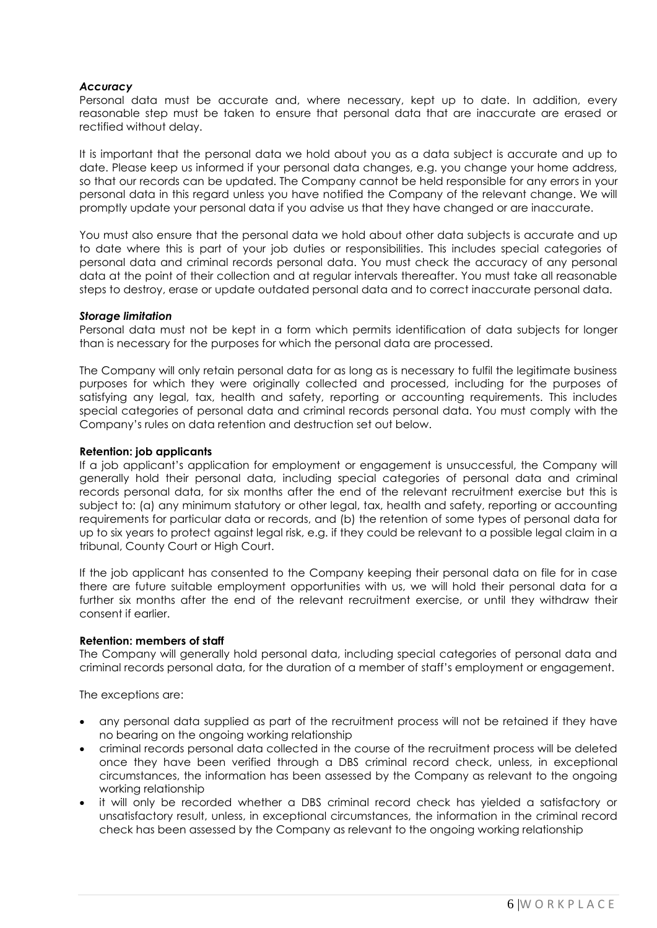## *Accuracy*

Personal data must be accurate and, where necessary, kept up to date. In addition, every reasonable step must be taken to ensure that personal data that are inaccurate are erased or rectified without delay.

It is important that the personal data we hold about you as a data subject is accurate and up to date. Please keep us informed if your personal data changes, e.g. you change your home address, so that our records can be updated. The Company cannot be held responsible for any errors in your personal data in this regard unless you have notified the Company of the relevant change. We will promptly update your personal data if you advise us that they have changed or are inaccurate.

You must also ensure that the personal data we hold about other data subjects is accurate and up to date where this is part of your job duties or responsibilities. This includes special categories of personal data and criminal records personal data. You must check the accuracy of any personal data at the point of their collection and at regular intervals thereafter. You must take all reasonable steps to destroy, erase or update outdated personal data and to correct inaccurate personal data.

### *Storage limitation*

Personal data must not be kept in a form which permits identification of data subjects for longer than is necessary for the purposes for which the personal data are processed.

The Company will only retain personal data for as long as is necessary to fulfil the legitimate business purposes for which they were originally collected and processed, including for the purposes of satisfying any legal, tax, health and safety, reporting or accounting requirements. This includes special categories of personal data and criminal records personal data. You must comply with the Company's rules on data retention and destruction set out below.

### **Retention: job applicants**

If a job applicant's application for employment or engagement is unsuccessful, the Company will generally hold their personal data, including special categories of personal data and criminal records personal data, for six months after the end of the relevant recruitment exercise but this is subject to: (a) any minimum statutory or other legal, tax, health and safety, reporting or accounting requirements for particular data or records, and (b) the retention of some types of personal data for up to six years to protect against legal risk, e.g. if they could be relevant to a possible legal claim in a tribunal, County Court or High Court.

If the job applicant has consented to the Company keeping their personal data on file for in case there are future suitable employment opportunities with us, we will hold their personal data for a further six months after the end of the relevant recruitment exercise, or until they withdraw their consent if earlier.

#### **Retention: members of staff**

The Company will generally hold personal data, including special categories of personal data and criminal records personal data, for the duration of a member of staff's employment or engagement.

The exceptions are:

- any personal data supplied as part of the recruitment process will not be retained if they have no bearing on the ongoing working relationship
- criminal records personal data collected in the course of the recruitment process will be deleted once they have been verified through a DBS criminal record check, unless, in exceptional circumstances, the information has been assessed by the Company as relevant to the ongoing working relationship
- it will only be recorded whether a DBS criminal record check has yielded a satisfactory or unsatisfactory result, unless, in exceptional circumstances, the information in the criminal record check has been assessed by the Company as relevant to the ongoing working relationship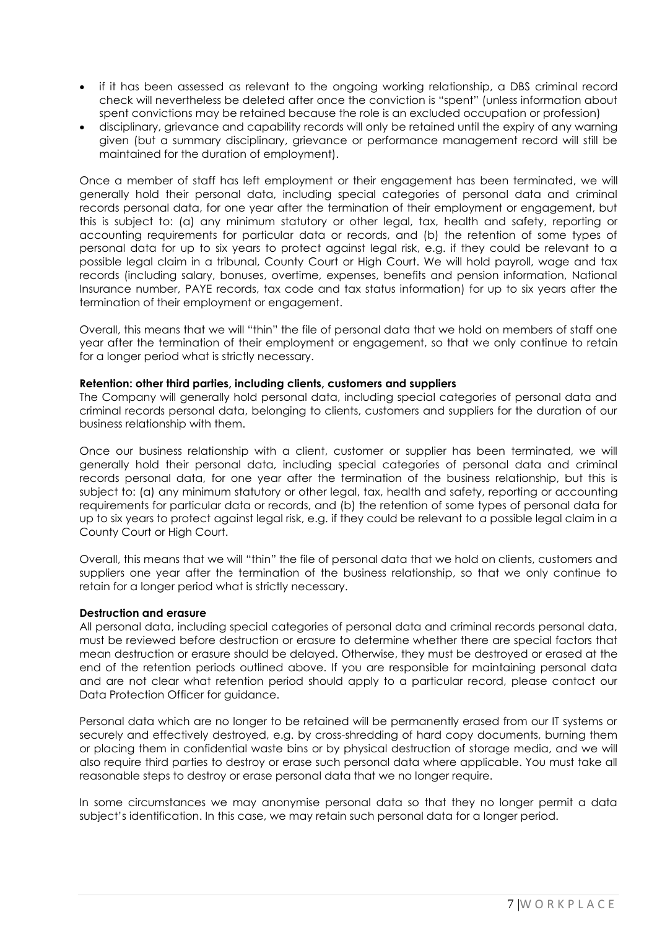- if it has been assessed as relevant to the ongoing working relationship, a DBS criminal record check will nevertheless be deleted after once the conviction is "spent" (unless information about spent convictions may be retained because the role is an excluded occupation or profession)
- disciplinary, grievance and capability records will only be retained until the expiry of any warning given (but a summary disciplinary, grievance or performance management record will still be maintained for the duration of employment).

Once a member of staff has left employment or their engagement has been terminated, we will generally hold their personal data, including special categories of personal data and criminal records personal data, for one year after the termination of their employment or engagement, but this is subject to: (a) any minimum statutory or other legal, tax, health and safety, reporting or accounting requirements for particular data or records, and (b) the retention of some types of personal data for up to six years to protect against legal risk, e.g. if they could be relevant to a possible legal claim in a tribunal, County Court or High Court. We will hold payroll, wage and tax records (including salary, bonuses, overtime, expenses, benefits and pension information, National Insurance number, PAYE records, tax code and tax status information) for up to six years after the termination of their employment or engagement.

Overall, this means that we will "thin" the file of personal data that we hold on members of staff one year after the termination of their employment or engagement, so that we only continue to retain for a longer period what is strictly necessary.

## **Retention: other third parties, including clients, customers and suppliers**

The Company will generally hold personal data, including special categories of personal data and criminal records personal data, belonging to clients, customers and suppliers for the duration of our business relationship with them.

Once our business relationship with a client, customer or supplier has been terminated, we will generally hold their personal data, including special categories of personal data and criminal records personal data, for one year after the termination of the business relationship, but this is subject to: (a) any minimum statutory or other legal, tax, health and safety, reporting or accounting requirements for particular data or records, and (b) the retention of some types of personal data for up to six years to protect against legal risk, e.g. if they could be relevant to a possible legal claim in a County Court or High Court.

Overall, this means that we will "thin" the file of personal data that we hold on clients, customers and suppliers one year after the termination of the business relationship, so that we only continue to retain for a longer period what is strictly necessary.

#### **Destruction and erasure**

All personal data, including special categories of personal data and criminal records personal data, must be reviewed before destruction or erasure to determine whether there are special factors that mean destruction or erasure should be delayed. Otherwise, they must be destroyed or erased at the end of the retention periods outlined above. If you are responsible for maintaining personal data and are not clear what retention period should apply to a particular record, please contact our Data Protection Officer for guidance.

Personal data which are no longer to be retained will be permanently erased from our IT systems or securely and effectively destroyed, e.g. by cross-shredding of hard copy documents, burning them or placing them in confidential waste bins or by physical destruction of storage media, and we will also require third parties to destroy or erase such personal data where applicable. You must take all reasonable steps to destroy or erase personal data that we no longer require.

In some circumstances we may anonymise personal data so that they no longer permit a data subject's identification. In this case, we may retain such personal data for a longer period.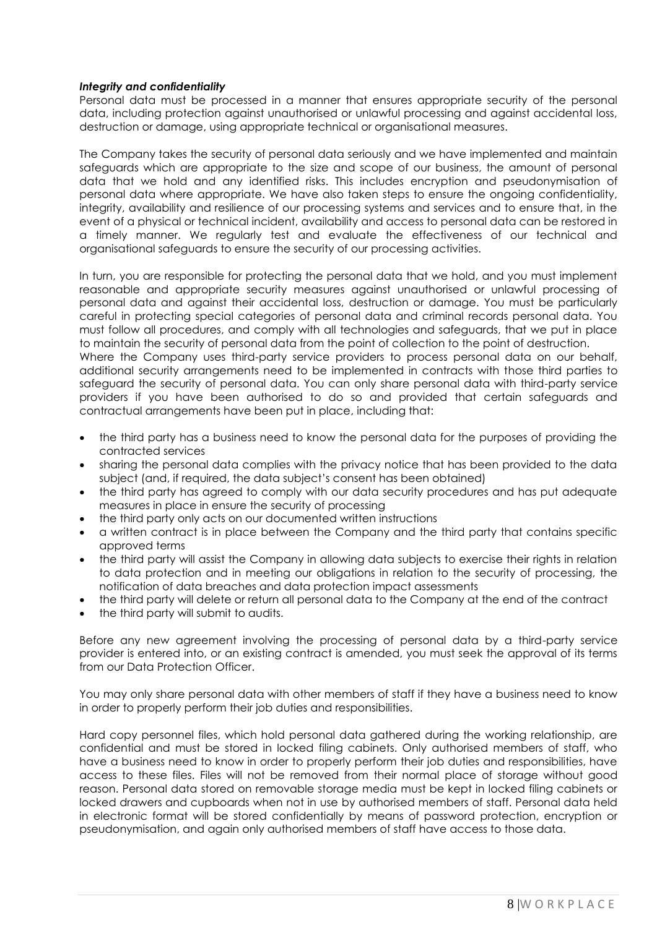## *Integrity and confidentiality*

Personal data must be processed in a manner that ensures appropriate security of the personal data, including protection against unauthorised or unlawful processing and against accidental loss, destruction or damage, using appropriate technical or organisational measures.

The Company takes the security of personal data seriously and we have implemented and maintain safeguards which are appropriate to the size and scope of our business, the amount of personal data that we hold and any identified risks. This includes encryption and pseudonymisation of personal data where appropriate. We have also taken steps to ensure the ongoing confidentiality, integrity, availability and resilience of our processing systems and services and to ensure that, in the event of a physical or technical incident, availability and access to personal data can be restored in a timely manner. We regularly test and evaluate the effectiveness of our technical and organisational safeguards to ensure the security of our processing activities.

In turn, you are responsible for protecting the personal data that we hold, and you must implement reasonable and appropriate security measures against unauthorised or unlawful processing of personal data and against their accidental loss, destruction or damage. You must be particularly careful in protecting special categories of personal data and criminal records personal data. You must follow all procedures, and comply with all technologies and safeguards, that we put in place to maintain the security of personal data from the point of collection to the point of destruction.

Where the Company uses third-party service providers to process personal data on our behalf, additional security arrangements need to be implemented in contracts with those third parties to safeguard the security of personal data. You can only share personal data with third-party service providers if you have been authorised to do so and provided that certain safeguards and contractual arrangements have been put in place, including that:

- the third party has a business need to know the personal data for the purposes of providing the contracted services
- sharing the personal data complies with the privacy notice that has been provided to the data subject (and, if required, the data subject's consent has been obtained)
- the third party has agreed to comply with our data security procedures and has put adequate measures in place in ensure the security of processing
- the third party only acts on our documented written instructions
- a written contract is in place between the Company and the third party that contains specific approved terms
- the third party will assist the Company in allowing data subjects to exercise their rights in relation to data protection and in meeting our obligations in relation to the security of processing, the notification of data breaches and data protection impact assessments
- the third party will delete or return all personal data to the Company at the end of the contract
- the third party will submit to audits.

Before any new agreement involving the processing of personal data by a third-party service provider is entered into, or an existing contract is amended, you must seek the approval of its terms from our Data Protection Officer.

You may only share personal data with other members of staff if they have a business need to know in order to properly perform their job duties and responsibilities.

Hard copy personnel files, which hold personal data gathered during the working relationship, are confidential and must be stored in locked filing cabinets. Only authorised members of staff, who have a business need to know in order to properly perform their job duties and responsibilities, have access to these files. Files will not be removed from their normal place of storage without good reason. Personal data stored on removable storage media must be kept in locked filing cabinets or locked drawers and cupboards when not in use by authorised members of staff. Personal data held in electronic format will be stored confidentially by means of password protection, encryption or pseudonymisation, and again only authorised members of staff have access to those data.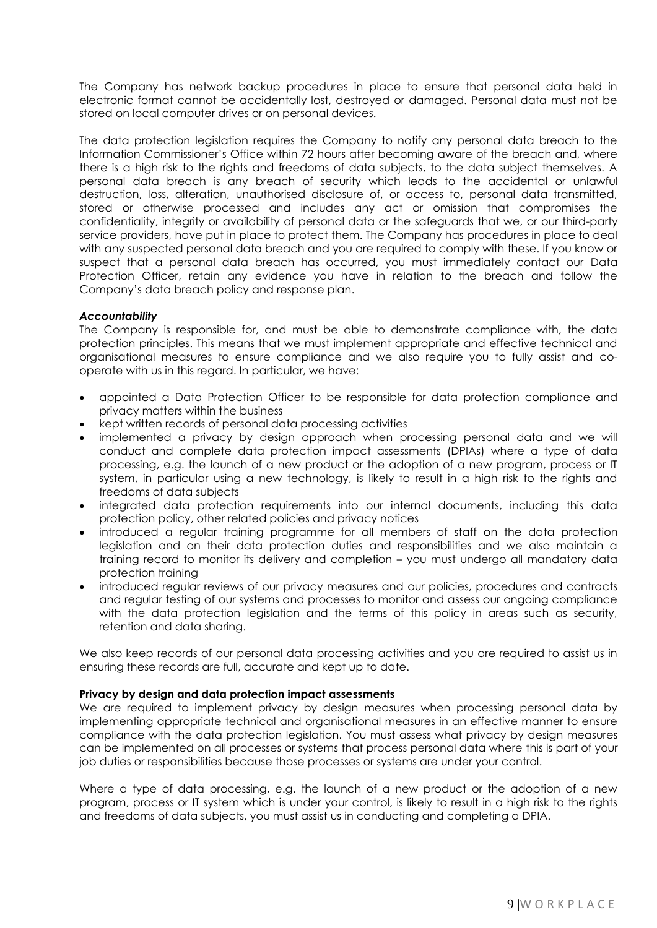The Company has network backup procedures in place to ensure that personal data held in electronic format cannot be accidentally lost, destroyed or damaged. Personal data must not be stored on local computer drives or on personal devices.

The data protection legislation requires the Company to notify any personal data breach to the Information Commissioner's Office within 72 hours after becoming aware of the breach and, where there is a high risk to the rights and freedoms of data subjects, to the data subject themselves. A personal data breach is any breach of security which leads to the accidental or unlawful destruction, loss, alteration, unauthorised disclosure of, or access to, personal data transmitted, stored or otherwise processed and includes any act or omission that compromises the confidentiality, integrity or availability of personal data or the safeguards that we, or our third-party service providers, have put in place to protect them. The Company has procedures in place to deal with any suspected personal data breach and you are required to comply with these. If you know or suspect that a personal data breach has occurred, you must immediately contact our Data Protection Officer, retain any evidence you have in relation to the breach and follow the Company's data breach policy and response plan.

## *Accountability*

The Company is responsible for, and must be able to demonstrate compliance with, the data protection principles. This means that we must implement appropriate and effective technical and organisational measures to ensure compliance and we also require you to fully assist and cooperate with us in this regard. In particular, we have:

- appointed a Data Protection Officer to be responsible for data protection compliance and privacy matters within the business
- kept written records of personal data processing activities
- implemented a privacy by design approach when processing personal data and we will conduct and complete data protection impact assessments (DPIAs) where a type of data processing, e.g. the launch of a new product or the adoption of a new program, process or IT system, in particular using a new technology, is likely to result in a high risk to the rights and freedoms of data subjects
- integrated data protection requirements into our internal documents, including this data protection policy, other related policies and privacy notices
- introduced a regular training programme for all members of staff on the data protection legislation and on their data protection duties and responsibilities and we also maintain a training record to monitor its delivery and completion – you must undergo all mandatory data protection training
- introduced regular reviews of our privacy measures and our policies, procedures and contracts and regular testing of our systems and processes to monitor and assess our ongoing compliance with the data protection legislation and the terms of this policy in areas such as security, retention and data sharing.

We also keep records of our personal data processing activities and you are required to assist us in ensuring these records are full, accurate and kept up to date.

## **Privacy by design and data protection impact assessments**

We are required to implement privacy by design measures when processing personal data by implementing appropriate technical and organisational measures in an effective manner to ensure compliance with the data protection legislation. You must assess what privacy by design measures can be implemented on all processes or systems that process personal data where this is part of your job duties or responsibilities because those processes or systems are under your control.

Where a type of data processing, e.g. the launch of a new product or the adoption of a new program, process or IT system which is under your control, is likely to result in a high risk to the rights and freedoms of data subjects, you must assist us in conducting and completing a DPIA.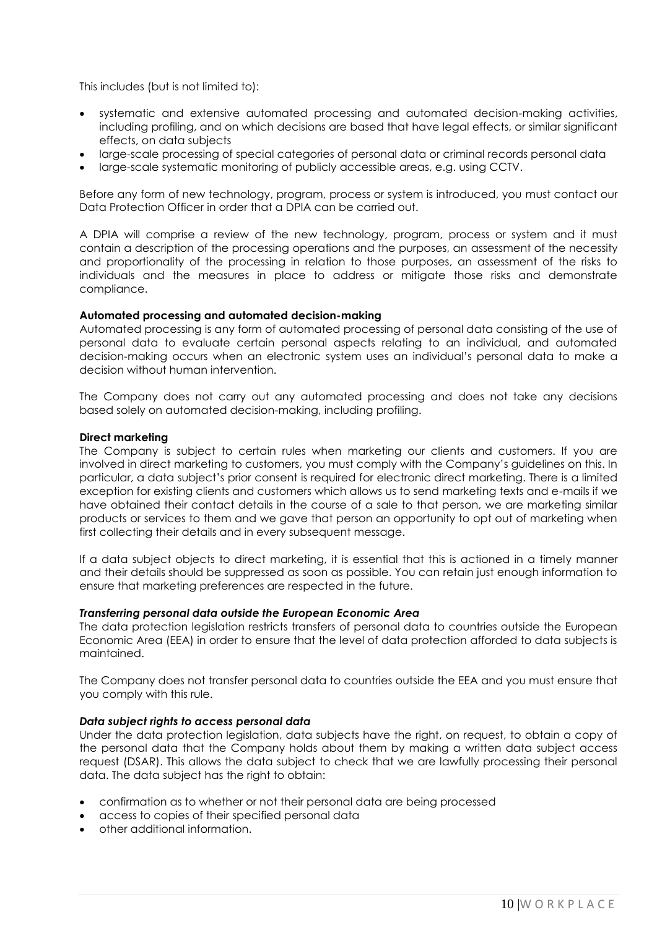This includes (but is not limited to):

- systematic and extensive automated processing and automated decision-making activities, including profiling, and on which decisions are based that have legal effects, or similar significant effects, on data subjects
- large-scale processing of special categories of personal data or criminal records personal data
- large-scale systematic monitoring of publicly accessible areas, e.g. using CCTV.

Before any form of new technology, program, process or system is introduced, you must contact our Data Protection Officer in order that a DPIA can be carried out.

A DPIA will comprise a review of the new technology, program, process or system and it must contain a description of the processing operations and the purposes, an assessment of the necessity and proportionality of the processing in relation to those purposes, an assessment of the risks to individuals and the measures in place to address or mitigate those risks and demonstrate compliance.

## **Automated processing and automated decision-making**

Automated processing is any form of automated processing of personal data consisting of the use of personal data to evaluate certain personal aspects relating to an individual, and automated decision-making occurs when an electronic system uses an individual's personal data to make a decision without human intervention.

The Company does not carry out any automated processing and does not take any decisions based solely on automated decision-making, including profiling.

### **Direct marketing**

The Company is subject to certain rules when marketing our clients and customers. If you are involved in direct marketing to customers, you must comply with the Company's guidelines on this. In particular, a data subject's prior consent is required for electronic direct marketing. There is a limited exception for existing clients and customers which allows us to send marketing texts and e-mails if we have obtained their contact details in the course of a sale to that person, we are marketing similar products or services to them and we gave that person an opportunity to opt out of marketing when first collecting their details and in every subsequent message.

If a data subject objects to direct marketing, it is essential that this is actioned in a timely manner and their details should be suppressed as soon as possible. You can retain just enough information to ensure that marketing preferences are respected in the future.

## *Transferring personal data outside the European Economic Area*

The data protection legislation restricts transfers of personal data to countries outside the European Economic Area (EEA) in order to ensure that the level of data protection afforded to data subjects is maintained.

The Company does not transfer personal data to countries outside the EEA and you must ensure that you comply with this rule.

## *Data subject rights to access personal data*

Under the data protection legislation, data subjects have the right, on request, to obtain a copy of the personal data that the Company holds about them by making a written data subject access request (DSAR). This allows the data subject to check that we are lawfully processing their personal data. The data subject has the right to obtain:

- confirmation as to whether or not their personal data are being processed
- access to copies of their specified personal data
- other additional information.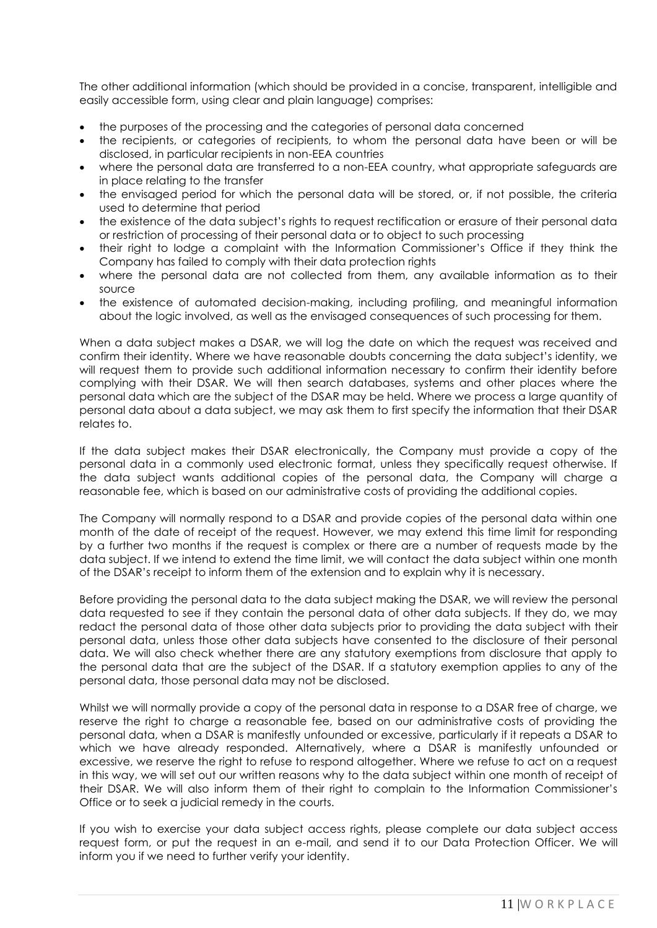The other additional information (which should be provided in a concise, transparent, intelligible and easily accessible form, using clear and plain language) comprises:

- the purposes of the processing and the categories of personal data concerned
- the recipients, or categories of recipients, to whom the personal data have been or will be disclosed, in particular recipients in non-EEA countries
- where the personal data are transferred to a non-EEA country, what appropriate safeguards are in place relating to the transfer
- the envisaged period for which the personal data will be stored, or, if not possible, the criteria used to determine that period
- the existence of the data subject's rights to request rectification or erasure of their personal data or restriction of processing of their personal data or to object to such processing
- their right to lodge a complaint with the Information Commissioner's Office if they think the Company has failed to comply with their data protection rights
- where the personal data are not collected from them, any available information as to their source
- the existence of automated decision-making, including profiling, and meaningful information about the logic involved, as well as the envisaged consequences of such processing for them.

When a data subject makes a DSAR, we will log the date on which the request was received and confirm their identity. Where we have reasonable doubts concerning the data subject's identity, we will request them to provide such additional information necessary to confirm their identity before complying with their DSAR. We will then search databases, systems and other places where the personal data which are the subject of the DSAR may be held. Where we process a large quantity of personal data about a data subject, we may ask them to first specify the information that their DSAR relates to.

If the data subject makes their DSAR electronically, the Company must provide a copy of the personal data in a commonly used electronic format, unless they specifically request otherwise. If the data subject wants additional copies of the personal data, the Company will charge a reasonable fee, which is based on our administrative costs of providing the additional copies.

The Company will normally respond to a DSAR and provide copies of the personal data within one month of the date of receipt of the request. However, we may extend this time limit for responding by a further two months if the request is complex or there are a number of requests made by the data subject. If we intend to extend the time limit, we will contact the data subject within one month of the DSAR's receipt to inform them of the extension and to explain why it is necessary.

Before providing the personal data to the data subject making the DSAR, we will review the personal data requested to see if they contain the personal data of other data subjects. If they do, we may redact the personal data of those other data subjects prior to providing the data subject with their personal data, unless those other data subjects have consented to the disclosure of their personal data. We will also check whether there are any statutory exemptions from disclosure that apply to the personal data that are the subject of the DSAR. If a statutory exemption applies to any of the personal data, those personal data may not be disclosed.

Whilst we will normally provide a copy of the personal data in response to a DSAR free of charge, we reserve the right to charge a reasonable fee, based on our administrative costs of providing the personal data, when a DSAR is manifestly unfounded or excessive, particularly if it repeats a DSAR to which we have already responded. Alternatively, where a DSAR is manifestly unfounded or excessive, we reserve the right to refuse to respond altogether. Where we refuse to act on a request in this way, we will set out our written reasons why to the data subject within one month of receipt of their DSAR. We will also inform them of their right to complain to the Information Commissioner's Office or to seek a judicial remedy in the courts.

If you wish to exercise your data subject access rights, please complete our data subject access request form, or put the request in an e-mail, and send it to our Data Protection Officer. We will inform you if we need to further verify your identity.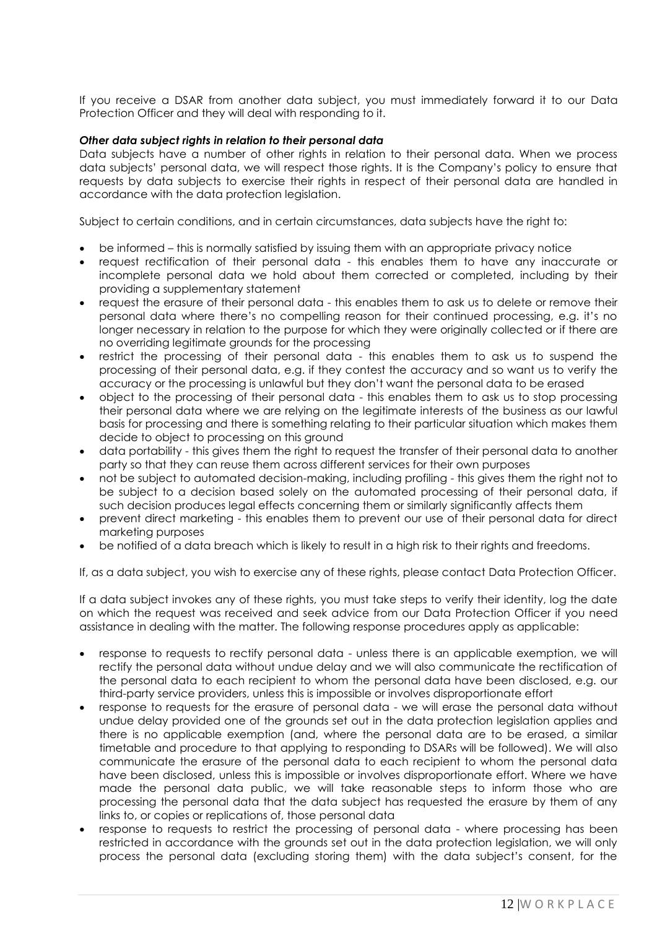If you receive a DSAR from another data subject, you must immediately forward it to our Data Protection Officer and they will deal with responding to it.

### *Other data subject rights in relation to their personal data*

Data subjects have a number of other rights in relation to their personal data. When we process data subjects' personal data, we will respect those rights. It is the Company's policy to ensure that requests by data subjects to exercise their rights in respect of their personal data are handled in accordance with the data protection legislation.

Subject to certain conditions, and in certain circumstances, data subjects have the right to:

- be informed this is normally satisfied by issuing them with an appropriate privacy notice
- request rectification of their personal data this enables them to have any inaccurate or incomplete personal data we hold about them corrected or completed, including by their providing a supplementary statement
- request the erasure of their personal data this enables them to ask us to delete or remove their personal data where there's no compelling reason for their continued processing, e.g. it's no longer necessary in relation to the purpose for which they were originally collected or if there are no overriding legitimate grounds for the processing
- restrict the processing of their personal data this enables them to ask us to suspend the processing of their personal data, e.g. if they contest the accuracy and so want us to verify the accuracy or the processing is unlawful but they don't want the personal data to be erased
- object to the processing of their personal data this enables them to ask us to stop processing their personal data where we are relying on the legitimate interests of the business as our lawful basis for processing and there is something relating to their particular situation which makes them decide to object to processing on this ground
- data portability this gives them the right to request the transfer of their personal data to another party so that they can reuse them across different services for their own purposes
- not be subject to automated decision-making, including profiling this gives them the right not to be subject to a decision based solely on the automated processing of their personal data, if such decision produces legal effects concerning them or similarly significantly affects them
- prevent direct marketing this enables them to prevent our use of their personal data for direct marketing purposes
- be notified of a data breach which is likely to result in a high risk to their rights and freedoms.

If, as a data subject, you wish to exercise any of these rights, please contact Data Protection Officer.

If a data subject invokes any of these rights, you must take steps to verify their identity, log the date on which the request was received and seek advice from our Data Protection Officer if you need assistance in dealing with the matter. The following response procedures apply as applicable:

- response to requests to rectify personal data unless there is an applicable exemption, we will rectify the personal data without undue delay and we will also communicate the rectification of the personal data to each recipient to whom the personal data have been disclosed, e.g. our third-party service providers, unless this is impossible or involves disproportionate effort
- response to requests for the erasure of personal data we will erase the personal data without undue delay provided one of the grounds set out in the data protection legislation applies and there is no applicable exemption (and, where the personal data are to be erased, a similar timetable and procedure to that applying to responding to DSARs will be followed). We will also communicate the erasure of the personal data to each recipient to whom the personal data have been disclosed, unless this is impossible or involves disproportionate effort. Where we have made the personal data public, we will take reasonable steps to inform those who are processing the personal data that the data subject has requested the erasure by them of any links to, or copies or replications of, those personal data
- response to requests to restrict the processing of personal data where processing has been restricted in accordance with the grounds set out in the data protection legislation, we will only process the personal data (excluding storing them) with the data subject's consent, for the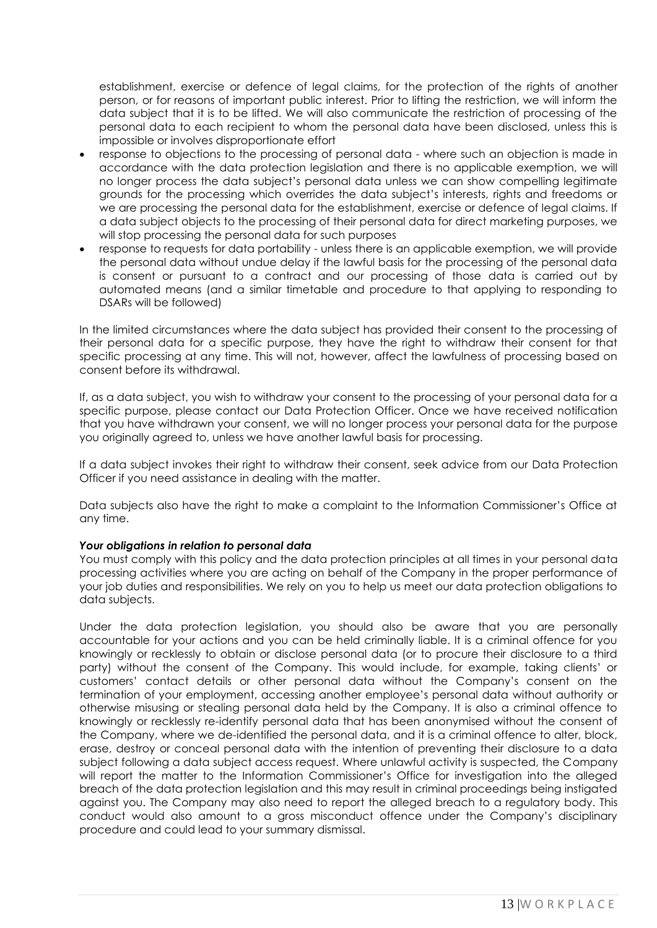establishment, exercise or defence of legal claims, for the protection of the rights of another person, or for reasons of important public interest. Prior to lifting the restriction, we will inform the data subject that it is to be lifted. We will also communicate the restriction of processing of the personal data to each recipient to whom the personal data have been disclosed, unless this is impossible or involves disproportionate effort

- response to objections to the processing of personal data where such an objection is made in accordance with the data protection legislation and there is no applicable exemption, we will no longer process the data subject's personal data unless we can show compelling legitimate grounds for the processing which overrides the data subject's interests, rights and freedoms or we are processing the personal data for the establishment, exercise or defence of legal claims. If a data subject objects to the processing of their personal data for direct marketing purposes, we will stop processing the personal data for such purposes
- response to requests for data portability unless there is an applicable exemption, we will provide the personal data without undue delay if the lawful basis for the processing of the personal data is consent or pursuant to a contract and our processing of those data is carried out by automated means (and a similar timetable and procedure to that applying to responding to DSARs will be followed)

In the limited circumstances where the data subject has provided their consent to the processing of their personal data for a specific purpose, they have the right to withdraw their consent for that specific processing at any time. This will not, however, affect the lawfulness of processing based on consent before its withdrawal.

If, as a data subject, you wish to withdraw your consent to the processing of your personal data for a specific purpose, please contact our Data Protection Officer. Once we have received notification that you have withdrawn your consent, we will no longer process your personal data for the purpose you originally agreed to, unless we have another lawful basis for processing.

If a data subject invokes their right to withdraw their consent, seek advice from our Data Protection Officer if you need assistance in dealing with the matter.

Data subjects also have the right to make a complaint to the Information Commissioner's Office at any time.

# *Your obligations in relation to personal data*

You must comply with this policy and the data protection principles at all times in your personal data processing activities where you are acting on behalf of the Company in the proper performance of your job duties and responsibilities. We rely on you to help us meet our data protection obligations to data subjects.

Under the data protection legislation, you should also be aware that you are personally accountable for your actions and you can be held criminally liable. It is a criminal offence for you knowingly or recklessly to obtain or disclose personal data (or to procure their disclosure to a third party) without the consent of the Company. This would include, for example, taking clients' or customers' contact details or other personal data without the Company's consent on the termination of your employment, accessing another employee's personal data without authority or otherwise misusing or stealing personal data held by the Company. It is also a criminal offence to knowingly or recklessly re-identify personal data that has been anonymised without the consent of the Company, where we de-identified the personal data, and it is a criminal offence to alter, block, erase, destroy or conceal personal data with the intention of preventing their disclosure to a data subject following a data subject access request. Where unlawful activity is suspected, the Company will report the matter to the Information Commissioner's Office for investigation into the alleged breach of the data protection legislation and this may result in criminal proceedings being instigated against you. The Company may also need to report the alleged breach to a regulatory body. This conduct would also amount to a gross misconduct offence under the Company's disciplinary procedure and could lead to your summary dismissal.